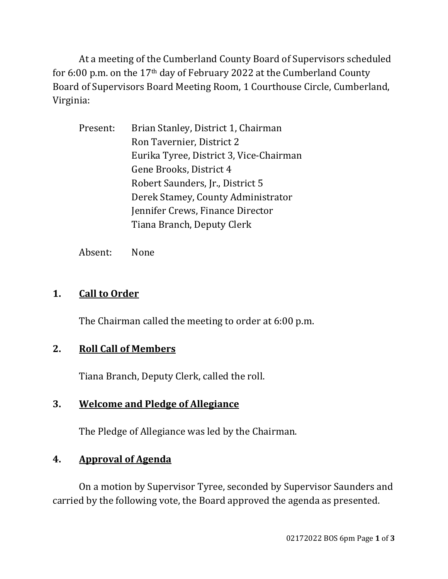At a meeting of the Cumberland County Board of Supervisors scheduled for 6:00 p.m. on the 17th day of February 2022 at the Cumberland County Board of Supervisors Board Meeting Room, 1 Courthouse Circle, Cumberland, Virginia:

| Present: | Brian Stanley, District 1, Chairman     |
|----------|-----------------------------------------|
|          | Ron Tavernier, District 2               |
|          | Eurika Tyree, District 3, Vice-Chairman |
|          | Gene Brooks, District 4                 |
|          | Robert Saunders, Jr., District 5        |
|          | Derek Stamey, County Administrator      |
|          | Jennifer Crews, Finance Director        |
|          | Tiana Branch, Deputy Clerk              |
|          |                                         |

Absent: None

# **1. Call to Order**

The Chairman called the meeting to order at 6:00 p.m.

## **2. Roll Call of Members**

Tiana Branch, Deputy Clerk, called the roll.

## **3. Welcome and Pledge of Allegiance**

The Pledge of Allegiance was led by the Chairman.

# **4. Approval of Agenda**

On a motion by Supervisor Tyree, seconded by Supervisor Saunders and carried by the following vote, the Board approved the agenda as presented.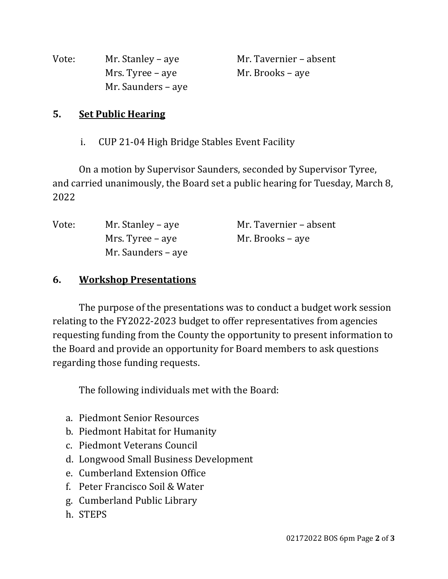| Vote: | Mr. Stanley – aye  | Mr. Tavernier – absent |
|-------|--------------------|------------------------|
|       | Mrs. Tyree – aye   | Mr. Brooks – aye       |
|       | Mr. Saunders – aye |                        |

#### **5. Set Public Hearing**

i. CUP 21-04 High Bridge Stables Event Facility

On a motion by Supervisor Saunders, seconded by Supervisor Tyree, and carried unanimously, the Board set a public hearing for Tuesday, March 8, 2022

| Vote: | Mr. Stanley – aye  | Mr. Tavernier – absent |
|-------|--------------------|------------------------|
|       | Mrs. Tyree – aye   | Mr. Brooks – aye       |
|       | Mr. Saunders – aye |                        |

#### **6. Workshop Presentations**

The purpose of the presentations was to conduct a budget work session relating to the FY2022-2023 budget to offer representatives from agencies requesting funding from the County the opportunity to present information to the Board and provide an opportunity for Board members to ask questions regarding those funding requests.

The following individuals met with the Board:

- a. Piedmont Senior Resources
- b. Piedmont Habitat for Humanity
- c. Piedmont Veterans Council
- d. Longwood Small Business Development
- e. Cumberland Extension Office
- f. Peter Francisco Soil & Water
- g. Cumberland Public Library
- h. STEPS